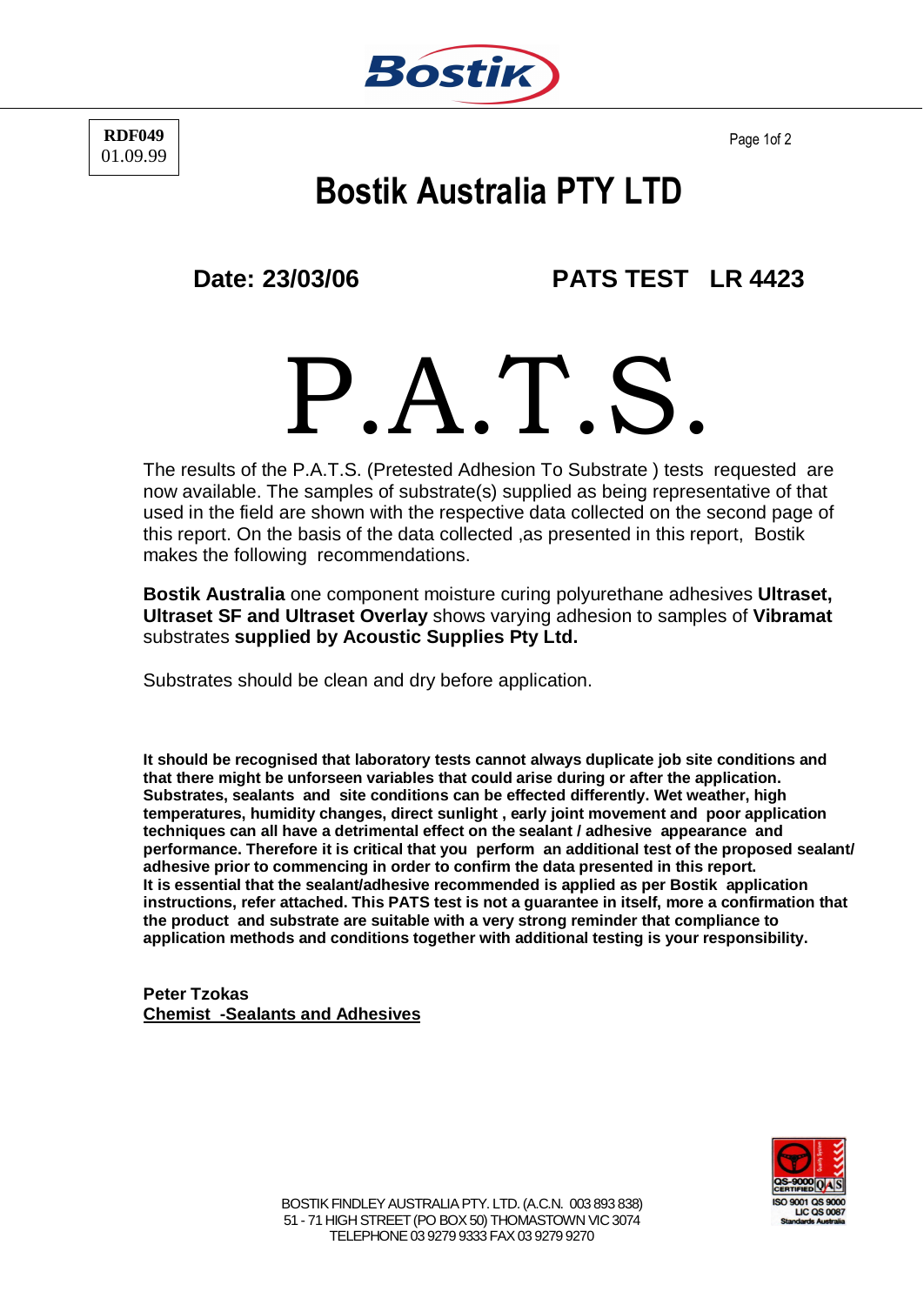

**RDF049** 01.09.99

Page 1of 2

## **Bostik Australia PTY LTD**

**Date: 23/03/06 PATS TEST LR 4423**

P.A.T.S.

The results of the P.A.T.S. (Pretested Adhesion To Substrate ) tests requested are now available. The samples of substrate(s) supplied as being representative of that used in the field are shown with the respective data collected on the second page of this report. On the basis of the data collected ,as presented in this report, Bostik makes the following recommendations.

**Bostik Australia** one component moisture curing polyurethane adhesives **Ultraset, Ultraset SF and Ultraset Overlay** shows varying adhesion to samples of **Vibramat** substrates **supplied by Acoustic Supplies Pty Ltd.**

Substrates should be clean and dry before application.

**It should be recognised that laboratory tests cannot always duplicate job site conditions and that there might be unforseen variables that could arise during or after the application. Substrates, sealants and site conditions can be effected differently. Wet weather, high temperatures, humidity changes, direct sunlight , early joint movement and poor application techniques can all have a detrimental effect on the sealant / adhesive appearance and performance. Therefore it is critical that you perform an additional test of the proposed sealant/ adhesive prior to commencing in order to confirm the data presented in this report. It is essential that the sealant/adhesive recommended is applied as per Bostik application instructions, refer attached. This PATS test is not a guarantee in itself, more a confirmation that the product and substrate are suitable with a very strong reminder that compliance to application methods and conditions together with additional testing is your responsibility.**

**Peter Tzokas Chemist -Sealants and Adhesives**